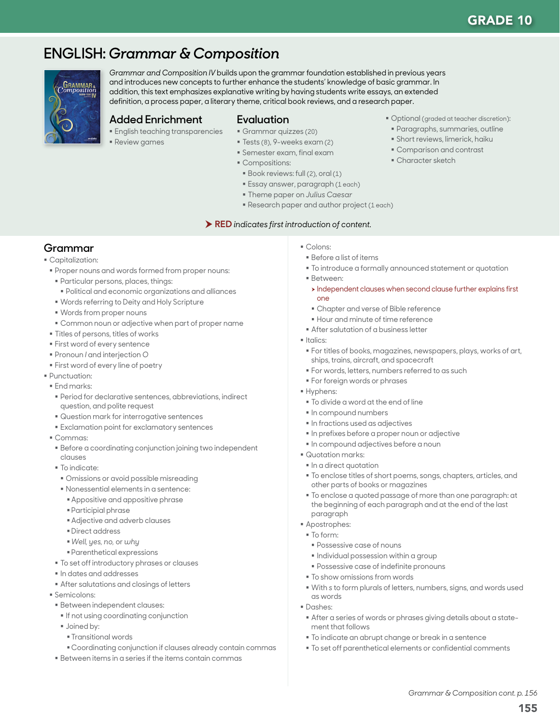# **ENGLISH:** *Grammar & Composition*



*Grammar and Composition IV* builds upon the grammar foundation established in previous years and introduces new concepts to further enhance the students' knowledge of basic grammar. In addition, this text emphasizes explanative writing by having students write essays, an extended definition, a process paper, a literary theme, critical book reviews, and a research paper.

#### **Added Enrichment**

- **English teaching transparencies**
- Review games

#### **Evaluation**

- Grammar quizzes (20)
	- Tests (8), 9-weeks exam (2)
	- Semester exam, final exam
	- Compositions:
	- Book reviews: full (2), oral (1)
	- Essay answer, paragraph (1 each)
	- Theme paper on *Julius Caesar*
	- Research paper and author project (1 each)

#### RED *indicates first introduction of content.*

# **Grammar**

#### Capitalization:

- Proper nouns and words formed from proper nouns:
- Particular persons, places, things:
- Political and economic organizations and alliances
- Words referring to Deity and Holy Scripture
- Words from proper nouns
- Common noun or adjective when part of proper name
- Titles of persons, titles of works
- First word of every sentence
- Pronoun *I* and interjection *O*
- **First word of every line of poetry**
- Punctuation:
- **End marks:**
- Period for declarative sentences, abbreviations, indirect question, and polite request
- Question mark for interrogative sentences
- **Exclamation point for exclamatory sentences**
- Commas:
- Before a coordinating conjunction joining two independent clauses
- To indicate:
- Omissions or avoid possible misreading
- Nonessential elements in a sentence:
- Appositive and appositive phrase
- Participial phrase
- Adjective and adverb clauses
- **Direct address**
- *Well, yes, no,* or *why*
- Parenthetical expressions
- $\blacksquare$  To set off introductory phrases or clauses
- $\blacksquare$  In dates and addresses
- After salutations and closings of letters
- Semicolons:
- Between independent clauses:
- **If not using coordinating conjunction**
- **Joined by:** 
	- Transitional words
- Coordinating conjunction if clauses already contain commas
- Between items in a series if the items contain commas
- Colons:
- Before a list of items
- $\blacksquare$  To introduce a formally announced statement or quotation
- Between:
- $\rightarrow$  Independent clauses when second clause further explains first one

**Optional (graded at teacher discretion):**  Paragraphs, summaries, outline Short reviews, limerick, haiku Comparison and contrast Character sketch

- Chapter and verse of Bible reference
- **Hour and minute of time reference**
- **After salutation of a business letter**
- Italics:
	- For titles of books, magazines, newspapers, plays, works of art, ships, trains, aircraft, and spacecraft
	- For words, letters, numbers referred to as such
- **For foreign words or phrases**
- Hyphens:
	- To divide a word at the end of line
- $\blacksquare$  In compound numbers
- $\blacksquare$  In fractions used as adjectives
- In prefixes before a proper noun or adjective
- $\blacksquare$  In compound adjectives before a noun
- Quotation marks:
- $\blacksquare$  In a direct quotation
- To enclose titles of short poems, songs, chapters, articles, and other parts of books or magazines
- To enclose a quoted passage of more than one paragraph: at the beginning of each paragraph and at the end of the last paragraph
- Apostrophes:
- To form:
	- Possessive case of nouns
	- $\blacksquare$  Individual possession within a group
	- Possessive case of indefinite pronouns
- To show omissions from words
- With *s* to form plurals of letters, numbers, signs, and words used as words
- Dashes:
- After a series of words or phrases giving details about a statement that follows
- To indicate an abrupt change or break in a sentence
- $\blacksquare$  To set off parenthetical elements or confidential comments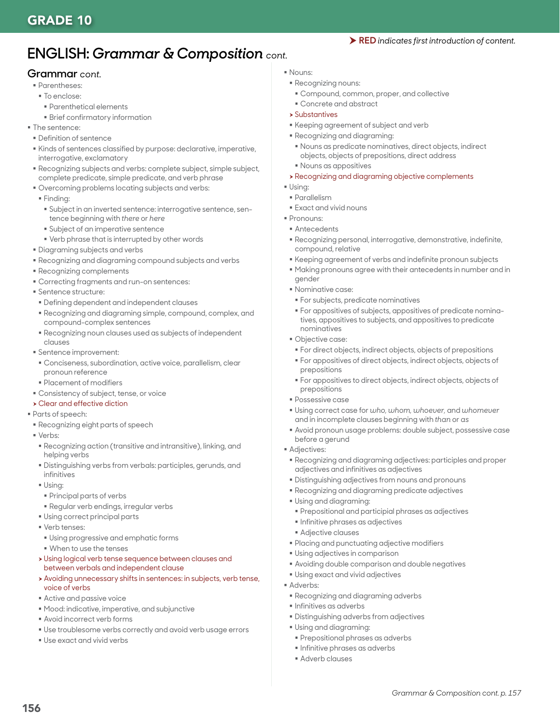# **ENGLISH:** *Grammar & Composition cont.*

#### **Grammar** *cont.*

- **Parentheses:**
- To enclose:
	- Parenthetical elements
	- Brief confirmatory information
- **The sentence:**
- Definition of sentence
- Kinds of sentences classified by purpose: declarative, imperative, interrogative, exclamatory
- Recognizing subjects and verbs: complete subject, simple subject, complete predicate, simple predicate, and verb phrase
- Overcoming problems locating subjects and verbs:
- Finding:
- Subject in an inverted sentence: interrogative sentence, sentence beginning with *there* or *here*
- Subject of an imperative sentence
- Verb phrase that is interrupted by other words
- Diagraming subjects and verbs
- Recognizing and diagraming compound subjects and verbs
- Recognizing complements
- Correcting fragments and run-on sentences:
- **Sentence structure:**
- Defining dependent and independent clauses
- Recognizing and diagraming simple, compound, complex, and compound-complex sentences
- Recognizing noun clauses used as subjects of independent clauses
- Sentence improvement:
- Conciseness, subordination, active voice, parallelism, clear pronoun reference
- Placement of modifiers
- Consistency of subject, tense, or voice
- $\rightarrow$  Clear and effective diction
- Parts of speech:
- Recognizing eight parts of speech
- Verbs:
- Recognizing action (transitive and intransitive), linking, and helping verbs
- Distinguishing verbs from verbals: participles, gerunds, and infinitives
- Using:
- Principal parts of verbs
- Regular verb endings, irregular verbs
- Using correct principal parts
- **Verb tenses:**
- Using progressive and emphatic forms
- When to use the tenses
- h Using logical verb tense sequence between clauses and between verbals and independent clause
- h Avoiding unnecessary shifts in sentences: in subjects, verb tense, voice of verbs
- Active and passive voice
- Mood: indicative, imperative, and subjunctive
- Avoid incorrect verb forms
- Use troublesome verbs correctly and avoid verb usage errors
- Use exact and vivid verbs
- Nouns:
- Recognizing nouns:
- Compound, common, proper, and collective
- Concrete and abstract
- $\rightarrow$  Substantives
- Keeping agreement of subject and verb
- Recognizing and diagraming:
	- Nouns as predicate nominatives, direct objects, indirect objects, objects of prepositions, direct address
- Nouns as appositives
- **> Recognizing and diagraming objective complements**
- $\blacksquare$  Using:
- Parallelism
- Exact and vivid nouns
- Pronouns:
- Antecedents
- Recognizing personal, interrogative, demonstrative, indefinite, compound, relative
- Keeping agreement of verbs and indefinite pronoun subjects
- Making pronouns agree with their antecedents in number and in gender
- Nominative case:
- For subjects, predicate nominatives
- For appositives of subjects, appositives of predicate nominatives, appositives to subjects, and appositives to predicate nominatives
- Objective case:
	- For direct objects, indirect objects, objects of prepositions
- For appositives of direct objects, indirect objects, objects of prepositions
- For appositives to direct objects, indirect objects, objects of prepositions
- Possessive case
- Using correct case for *who, whom, whoever,* and *whomever* and in incomplete clauses beginning with *than* or *as*
- Avoid pronoun usage problems: double subject, possessive case before a gerund
- **Adjectives:** 
	- Recognizing and diagraming adjectives: participles and proper adjectives and infinitives as adjectives
- Distinguishing adjectives from nouns and pronouns
- Recognizing and diagraming predicate adjectives
- Using and diagraming:
	- Prepositional and participial phrases as adjectives
	- **Infinitive phrases as adjectives**
- Adjective clauses
- Placing and punctuating adjective modifiers
- Using adjectives in comparison
- Avoiding double comparison and double negatives
- Using exact and vivid adjectives
- Adverbs:
- Recognizing and diagraming adverbs
- **Infinitives as adverbs**
- Distinguishing adverbs from adjectives
- Using and diagraming:
- Prepositional phrases as adverbs
- **Infinitive phrases as adverbs**
- Adverb clauses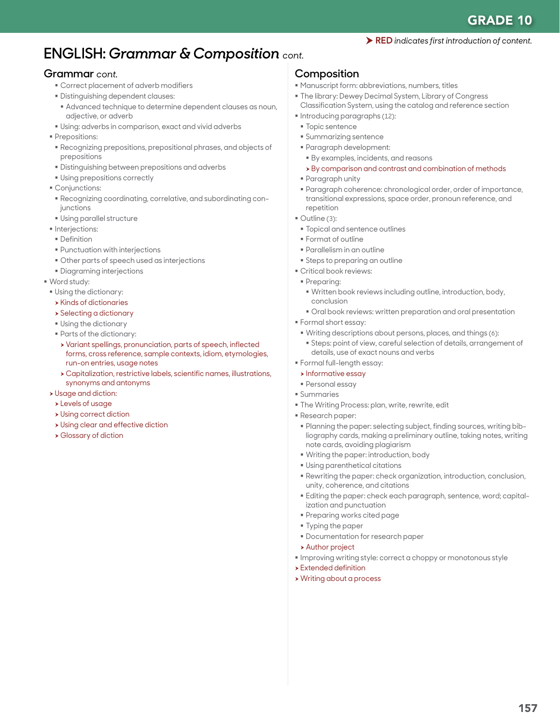# **ENGLISH:** *Grammar & Composition cont.*

#### **Grammar** *cont.*

- Correct placement of adverb modifiers
- Distinguishing dependent clauses:
- Advanced technique to determine dependent clauses as noun, adjective, or adverb
- Using: adverbs in comparison, exact and vivid adverbs
- **Prepositions:**
- Recognizing prepositions, prepositional phrases, and objects of prepositions
- Distinguishing between prepositions and adverbs
- Using prepositions correctly
- **Conjunctions:**
- Recognizing coordinating, correlative, and subordinating conjunctions
- Using parallel structure
- **Interjections:**
- **Definition**
- Punctuation with interjections
- Other parts of speech used as interjections
- Diagraming interjections
- Word study:
- Using the dictionary:
- $\rightarrow$  Kinds of dictionaries
- $\rightarrow$  Selecting a dictionary
- Using the dictionary
- Parts of the dictionary:
- h Variant spellings, pronunciation, parts of speech, inflected forms, cross reference, sample contexts, idiom, etymologies, run-on entries, usage notes
- $\rightarrow$  Capitalization, restrictive labels, scientific names, illustrations, synonyms and antonyms
- **>** Usage and diction:
- **>Levels of usage**
- $\rightarrow$  Using correct diction
- **> Using clear and effective diction**
- **> Glossary of diction**

#### **Composition**

- Manuscript form: abbreviations, numbers, titles
- The library: Dewey Decimal System, Library of Congress Classification System, using the catalog and reference section
- Introducing paragraphs (12):
- **Topic sentence**
- Summarizing sentence
- Paragraph development:
- By examples, incidents, and reasons
- $\rightarrow$  By comparison and contrast and combination of methods
- Paragraph unity
- Paragraph coherence: chronological order, order of importance, transitional expressions, space order, pronoun reference, and repetition
- Outline (3):
- **Topical and sentence outlines**
- Format of outline
- Parallelism in an outline
- **Steps to preparing an outline**
- Critical book reviews:
- Preparing:
- Written book reviews including outline, introduction, body, conclusion
- Oral book reviews: written preparation and oral presentation
- Formal short essay:
- Writing descriptions about persons, places, and things (6):
- Steps: point of view, careful selection of details, arrangement of details, use of exact nouns and verbs
- Formal full-length essay:
- **h** Informative essay
- Personal essay
- Summaries
- The Writing Process: plan, write, rewrite, edit
- Research paper:
- Planning the paper: selecting subject, finding sources, writing bibliography cards, making a preliminary outline, taking notes, writing note cards, avoiding plagiarism
- Writing the paper: introduction, body
- Using parenthetical citations
- Rewriting the paper: check organization, introduction, conclusion, unity, coherence, and citations
- Editing the paper: check each paragraph, sentence, word; capitalization and punctuation
- Preparing works cited page
- Typing the paper
- Documentation for research paper
- **> Author project**
- **Improving writing style: correct a choppy or monotonous style**
- $\blacktriangleright$  Extended definition
- **> Writing about a process**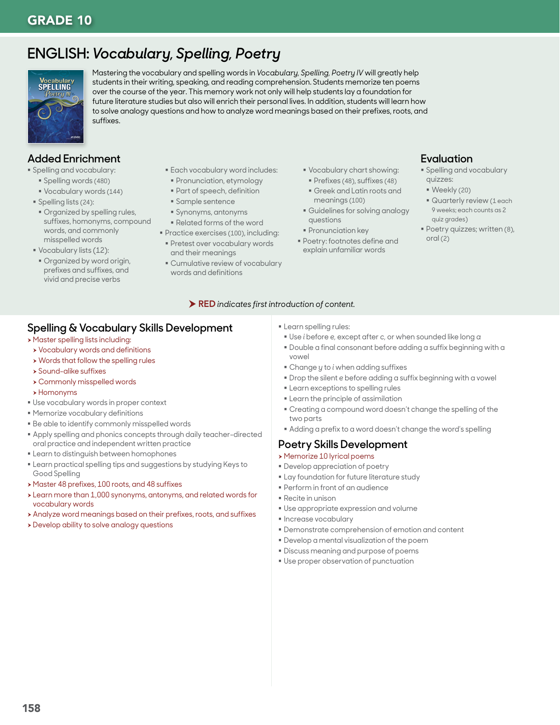# **ENGLISH:** *Vocabulary, Spelling, Poetry*



Mastering the vocabulary and spelling words in *Vocabulary, Spelling, Poetry IV* will greatly help students in their writing, speaking, and reading comprehension. Students memorize ten poems over the course of the year. This memory work not only will help students lay a foundation for future literature studies but also will enrich their personal lives. In addition, students will learn how to solve analogy questions and how to analyze word meanings based on their prefixes, roots, and suffixes.

# **Added Enrichment**

- **Spelling and vocabulary:** 
	- Spelling words (480)
	- Vocabulary words (144)
- Spelling lists (24):
- Organized by spelling rules, suffixes, homonyms, compound words, and commonly misspelled words
- Vocabulary lists (12):
- Organized by word origin, prefixes and suffixes, and vivid and precise verbs
- Each vocabulary word includes:
- **Pronunciation, etymology**
- Part of speech, definition
- Sample sentence
- Synonyms, antonyms
- Related forms of the word
- **Practice exercises (100), including: Pretest over vocabulary words** 
	- and their meanings
- Cumulative review of vocabulary words and definitions
- Vocabulary chart showing:
- Prefixes (48), suffixes (48)
- Greek and Latin roots and meanings (100)
- Guidelines for solving analogy questions
- **Pronunciation key**
- Poetry: footnotes define and explain unfamiliar words

# **Evaluation**

- **Spelling and vocabulary** quizzes:
- Weekly (20)
- Quarterly review (1 each 9 weeks; each counts as 2 quiz grades)
- Poetry quizzes; written (8), oral (2)

#### RED *indicates first introduction of content.*

### **Spelling & Vocabulary Skills Development**

- **Master spelling lists including:**
- **>** Vocabulary words and definitions
- $\rightarrow$  Words that follow the spelling rules
- **>** Sound-alike suffixes
- **> Commonly misspelled words**
- $\rightarrow$  Homonyms
- Use vocabulary words in proper context
- Memorize vocabulary definitions
- Be able to identify commonly misspelled words
- Apply spelling and phonics concepts through daily teacher-directed oral practice and independent written practice
- **Earn to distinguish between homophones**
- Learn practical spelling tips and suggestions by studying Keys to Good Spelling
- h Master 48 prefixes, 100 roots, and 48 suffixes
- > Learn more than 1,000 synonyms, antonyms, and related words for vocabulary words
- h Analyze word meanings based on their prefixes, roots, and suffixes
- **>** Develop ability to solve analogy questions

**Learn spelling rules:** 

- Use *i* before *e,* except after *c,* or when sounded like long *a*
- Double a final consonant before adding a suffix beginning with a vowel
- Change *y* to *i* when adding suffixes
- Drop the silent *e* before adding a suffix beginning with a vowel
- **Example 2** Learn exceptions to spelling rules
- **Example 1** Learn the principle of assimilation
- Creating a compound word doesn't change the spelling of the two parts
- Adding a prefix to a word doesn't change the word's spelling

# **Poetry Skills Development**

- $\rightarrow$  Memorize 10 lyrical poems
- Develop appreciation of poetry
- **Lay foundation for future literature study**
- Perform in front of an audience
- Recite in unison
- Use appropriate expression and volume
- **Increase vocabulary**
- Demonstrate comprehension of emotion and content
- Develop a mental visualization of the poem
- Discuss meaning and purpose of poems
- Use proper observation of punctuation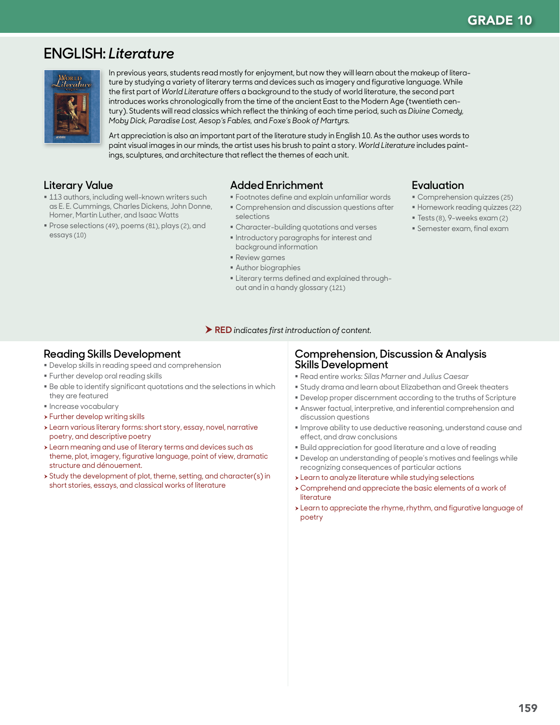# **ENGLISH:** *Literature*



In previous years, students read mostly for enjoyment, but now they will learn about the makeup of literature by studying a variety of literary terms and devices such as imagery and figurative language. While the first part of *World Literature* offers a background to the study of world literature, the second part introduces works chronologically from the time of the ancient East to the Modern Age (twentieth century). Students will read classics which reflect the thinking of each time period, such as *Divine Comedy, Moby Dick, Paradise Lost, Aesop's Fables,* and *Foxe's Book of Martyrs.*

Art appreciation is also an important part of the literature study in English 10. As the author uses words to paint visual images in our minds, the artist uses his brush to paint a story. *World Literature* includes paintings, sculptures, and architecture that reflect the themes of each unit.

### **Literary Value**

- **113 authors, including well-known writers such** as E. E. Cummings, Charles Dickens, John Donne, Homer, Martin Luther, and Isaac Watts
- Prose selections (49), poems (81), plays (2), and essays (10)

### **Added Enrichment**

- Footnotes define and explain unfamiliar words
- Comprehension and discussion questions after selections
- Character-building quotations and verses
- **Introductory paragraphs for interest and** background information
- Review games
- Author biographies
- **Example 1** Literary terms defined and explained throughout and in a handy glossary (121)

### **Evaluation**

- Comprehension quizzes (25)
- Homework reading quizzes (22)
- Tests (8), 9-weeks exam (2)
- Semester exam, final exam

#### RED *indicates first introduction of content.*

### **Reading Skills Development**

- Develop skills in reading speed and comprehension
- **Further develop oral reading skills**
- Be able to identify significant quotations and the selections in which they are featured
- **Increase vocabulary**
- $\rightarrow$  Further develop writing skills
- \* Learn various literary forms: short story, essay, novel, narrative poetry, and descriptive poetry
- $\rightarrow$  Learn meaning and use of literary terms and devices such as theme, plot, imagery, figurative language, point of view, dramatic structure and dénouement.
- $\rightarrow$  Study the development of plot, theme, setting, and character(s) in short stories, essays, and classical works of literature

### **Comprehension, Discussion & Analysis Skills Development**

- Read entire works: *Silas Marner* and *Julius Caesar*
- Study drama and learn about Elizabethan and Greek theaters
- Develop proper discernment according to the truths of Scripture
- Answer factual, interpretive, and inferential comprehension and discussion questions
- Improve ability to use deductive reasoning, understand cause and effect, and draw conclusions
- Build appreciation for good literature and a love of reading
- Develop an understanding of people's motives and feelings while recognizing consequences of particular actions
- > Learn to analyze literature while studying selections
- h Comprehend and appreciate the basic elements of a work of literature
- > Learn to appreciate the rhyme, rhythm, and figurative language of poetry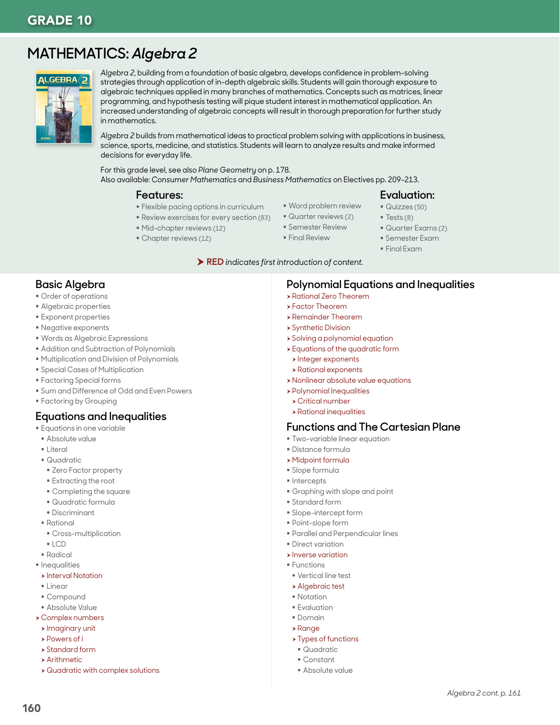# **MATHEMATICS:** *Algebra 2*



*Algebra 2*, building from a foundation of basic algebra, develops confidence in problem-solving strategies through application of in-depth algebraic skills. Students will gain thorough exposure to algebraic techniques applied in many branches of mathematics. Concepts such as matrices, linear programming, and hypothesis testing will pique student interest in mathematical application. An increased understanding of algebraic concepts will result in thorough preparation for further study in mathematics.

*Algebra 2* builds from mathematical ideas to practical problem solving with applications in business, science, sports, medicine, and statistics. Students will learn to analyze results and make informed decisions for everyday life.

For this grade level, see also *Plane Geometry* on p. 178. Also available: *Consumer Mathematics* and *Business Mathematics* on Electives pp. 209-213.

#### **Features:**

- Word problem review
- Flexible pacing options in curriculum Review exercises for every section (83)
- Mid-chapter reviews (12)
- Chapter reviews (12)
- Quarter reviews (2)
- Semester Review
- **Final Review**
- Semester Exam

**Polynomial Equations and Inequalities**

#### RED *indicates first introduction of content.*

### **Basic Algebra**

- **Order of operations**
- Algebraic properties
- Exponent properties
- Negative exponents
- Words as Algebraic Expressions
- Addition and Subtraction of Polynomials
- **Multiplication and Division of Polynomials**
- **Special Cases of Multiplication**
- Factoring Special forms
- Sum and Difference of Odd and Even Powers
- Factoring by Grouping

### **Equations and Inequalities**

- **Equations in one variable**
- Absolute value
- Literal
- Quadratic
- Zero Factor property
- Extracting the root
- Completing the square
- Quadratic formula
- Discriminant
- Rational
- Cross-multiplication
- LCD
- Radical
- **Inequalities**
- **>** Interval Notation
- $\blacksquare$  linear
- Compound
- Absolute Value
- $\rightarrow$  Complex numbers
- $\blacktriangleright$  Imaginary unit **>** Powers of i
- 
- $\rightarrow$  Standard form  $\rightarrow$  Arithmetic
- 
- $\rightarrow$  Quadratic with complex solutions

**>** Solving a polynomial equation  $\rightarrow$  Equations of the quadratic form

**> Rational Zero Theorem** h Factor Theorem **> Remainder Theorem > Synthetic Division** 

- $\blacktriangleright$  Integer exponents
- **>** Rational exponents
- **> Nonlinear absolute value equations**
- **> Polynomial Inequalities**
- $\triangleright$  Critical number
- $\rightarrow$  Rational inequalities

# **Functions and The Cartesian Plane**

- Two-variable linear equation
- Distance formula
- $\rightarrow$  Midpoint formula
- Slope formula
- **Intercepts**
- Graphing with slope and point
- Standard form
- Slope-intercept form
- Point-slope form
- Parallel and Perpendicular lines
- **Direct variation**
- $\triangleright$  Inverse variation
- **Functions** 
	- Vertical line test
- **> Algebraic test**
- **Notation**
- **Evaluation**
- Domain
- $\rightarrow$  Range
- $\rightarrow$  Types of functions
- Quadratic
- Constant
- Absolute value
- **Evaluation:**
- Quizzes (50)
- $\blacksquare$  Tests (8)
- Quarter Exams (2)
- - Final Exam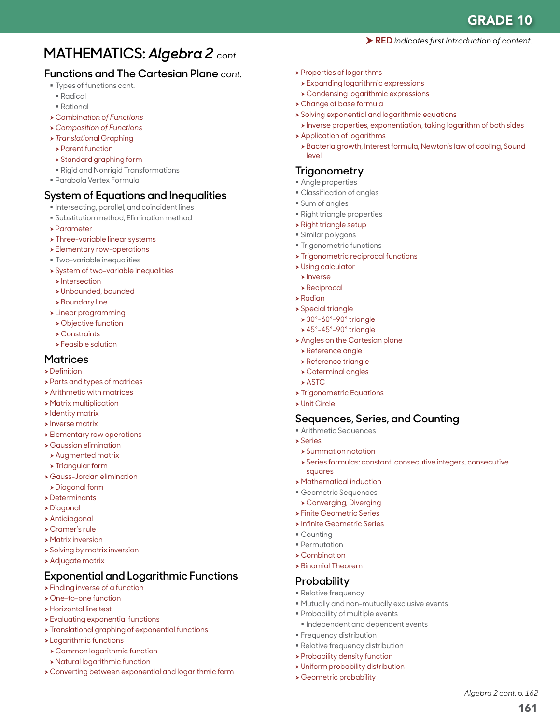161

*Algebra 2 cont. p. 162*

# **MATHEMATICS:** *Algebra 2 cont.*

# **Functions and The Cartesian Plane** *cont.*

- **Types of functions cont.**
- Radical
- Rational
- <sup>h</sup> Combin*ation of Functions*
- h *Composition of Functions*
- <sup>h</sup> *Translatio*nal Graphing
- **> Parent function**
- $\rightarrow$  Standard graphing form
- Rigid and Nonrigid Transformations
- Parabola Vertex Formula

### **System of Equations and Inequalities**

- $\blacksquare$  Intersecting, parallel, and coincident lines
- Substitution method, Elimination method
- $\rightarrow$  Parameter
- $\rightarrow$  Three-variable linear systems
- **>** Elementary row-operations
- Two-variable inequalities
- **>** System of two-variable inequalities
- $\blacktriangleright$  Intersection
- h Unbounded, bounded
- $\rightarrow$  Boundary line
- > Linear programming
- **> Objective function**
- $\triangleright$  Constraints
- $\blacktriangleright$  Feasible solution

#### **Matrices**

- $\triangleright$  Definition
- **>** Parts and types of matrices
- $\rightarrow$  Arithmetic with matrices
- **> Matrix multiplication**
- $\blacktriangleright$  Identity matrix
- h Inverse matrix
- **>** Elementary row operations
- $\rightarrow$  Gaussian elimination
	- $\rightarrow$  Augmented matrix
- **> Triangular form**
- $\rightarrow$  Gauss-Jordan elimination
- h Diagonal form
- $\rightarrow$  Determinants
- h Diagonal
- $\blacktriangleright$  Antidiagonal
- $\triangleright$  Cramer's rule
- $\rightarrow$  Matrix inversion
- **>** Solving by matrix inversion
- $\rightarrow$  Adjugate matrix

# **Exponential and Logarithmic Functions**

- $\rightarrow$  Finding inverse of a function
- h One-to-one function
- **>** Horizontal line test
- **> Evaluating exponential functions**
- $\rightarrow$  Translational graphing of exponential functions
- $\rightarrow$  Logarithmic functions
- **> Common logarithmic function**
- **> Natural logarithmic function**
- h Converting between exponential and logarithmic form
- $\rightarrow$  Properties of logarithms
- $\rightarrow$  Expanding logarithmic expressions
- $\rightarrow$  Condensing logarithmic expressions
- h Change of base formula
- $\rightarrow$  Solving exponential and logarithmic equations
	- h Inverse properties, exponentiation, taking logarithm of both sides

RED *indicates first introduction of content.*

- $\rightarrow$  Application of logarithms
- > Bacteria growth, Interest formula, Newton's law of cooling, Sound level

### **Trigonometry**

- Angle properties
- Classification of angles
- Sum of angles
- Right triangle properties
- $\rightarrow$  Right triangle setup
- Similar polygons
- **Trigonometric functions**
- $\rightarrow$  Trigonometric reciprocal functions
- $\rightarrow$  Using calculator
- $\blacktriangleright$  Inverse
- $\rightarrow$  Reciprocal
- $\rightarrow$  Radian
- $\rightarrow$  Special triangle
	- $\rightarrow$  30°-60°-90° triangle
	- $\blacktriangleright$  45°-45°-90° triangle
- **Angles on the Cartesian plane**
- $\rightarrow$  Reference angle
- $\rightarrow$  Reference triangle
- $\rightarrow$  Coterminal angles
- $\rightarrow$  ASTC
- **> Trigonometric Equations**
- $\triangleright$  Unit Circle

### **Sequences, Series, and Counting**

Mutually and non-mutually exclusive events

 $\blacksquare$  Independent and dependent events

- Arithmetic Sequences
- h Series
	- $\rightarrow$  Summation notation
	- h Series formulas: constant, consecutive integers, consecutive squares
- **> Mathematical induction**
- Geometric Sequences
- **> Converging, Diverging**
- **> Finite Geometric Series**
- **> Infinite Geometric Series**

**Probability of multiple events** 

**Frequency distribution**  Relative frequency distribution  $\rightarrow$  Probability density function  $\rightarrow$  Uniform probability distribution **> Geometric probability** 

 Counting **Permutation** 

 $\rightarrow$  Combination  $\rightarrow$  Binomial Theorem **Probability Relative frequency**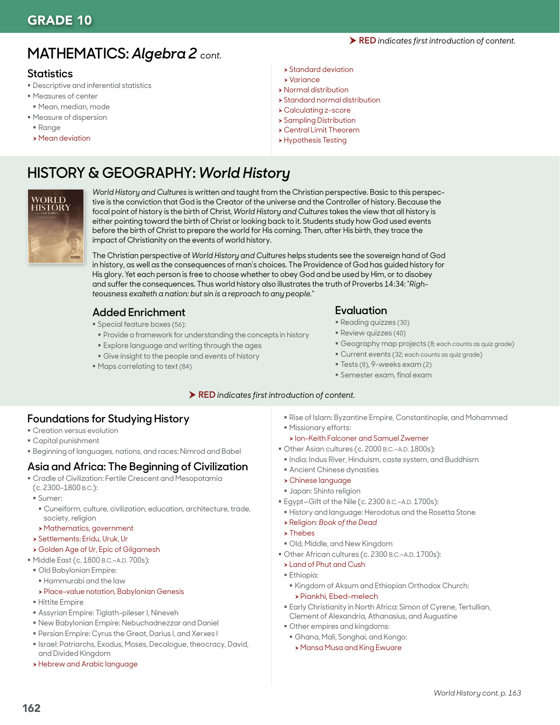# **MATHEMATICS:** *Algebra 2 cont.*

# **Statistics**

- Descriptive and inferential statistics
- Measures of center
- Mean, median, mode
- Measure of dispersion
- Range
- $\rightarrow$  Mean deviation
- $\rightarrow$  Standard deviation
- $\rightarrow$  Variance
- $\rightarrow$  Normal distribution
- $\rightarrow$  Standard normal distribution
- h Calculating z-score
- $\rightarrow$  Sampling Distribution
- h Central Limit Theorem
- **> Hypothesis Testing**

# **HISTORY & GEOGRAPHY:** *World History*



*World History and Cultures* is written and taught from the Christian perspective. Basic to this perspective is the conviction that God is the Creator of the universe and the Controller of history. Because the focal point of history is the birth of Christ, *World History and Cultures* takes the view that all history is either pointing toward the birth of Christ or looking back to it. Students study how God used events before the birth of Christ to prepare the world for His coming. Then, after His birth, they trace the impact of Christianity on the events of world history.

The Christian perspective of *World History and Cultures* helps students see the sovereign hand of God in history, as well as the consequences of man's choices. The Providence of God has guided history for His glory. Yet each person is free to choose whether to obey God and be used by Him, or to disobey and suffer the consequences. Thus world history also illustrates the truth of Proverbs 14:34: "*Righteousness exalteth a nation: but sin is a reproach to any people.*"

# **Added Enrichment**

- Special feature boxes (56):
- Provide a framework for understanding the concepts in history
- Explore language and writing through the ages
- Give insight to the people and events of history
- Maps correlating to text (84)

### **Evaluation**

- Reading quizzes (30)
- **Review quizzes (40)**
- Geography map projects (8; each counts as quiz grade)
- Current events (32; each counts as quiz grade)
- Tests (8), 9-weeks exam (2)
- Semester exam, final exam

#### RED *indicates first introduction of content.*

### **Foundations for Studying History**

- **Creation versus evolution**
- Capital punishment
- Beginning of languages, nations, and races: Nimrod and Babel

# **Asia and Africa: The Beginning of Civilization**

- Cradle of Civilization: Fertile Crescent and Mesopotamia (c. 2300–1800 B.C.):
- Sumer:
- Cuneiform, culture, civilization, education, architecture, trade, society, religion
- > Mathematics, government
- h Settlements: Eridu, Uruk, Ur
- **> Golden Age of Ur, Epic of Gilgamesh**
- Middle East (c. 1800 B.C.–A.D. 700s):
- Old Babylonian Empire:
- Hammurabi and the law
- » Place-value notation, Babylonian Genesis
- Hittite Empire
- Assyrian Empire: Tiglath-pileser I, Nineveh
- New Babylonian Empire: Nebuchadnezzar and Daniel
- Persian Empire: Cyrus the Great, Darius I, and Xerxes I
- **Israel: Patriarchs, Exodus, Moses, Decalogue, theocracy, David,** and Divided Kingdom
- **> Hebrew and Arabic language**
- Rise of Islam: Byzantine Empire, Constantinople, and Mohammed
- Missionary efforts:
- **h** Ion-Keith Falconer and Samuel Zwemer
- Other Asian cultures (c. 2000 B.C.–A.D. 1800s):
- $\blacksquare$  India: Indus River, Hinduism, caste system, and Buddhism
- Ancient Chinese dynasties
- $\triangleright$  Chinese language
- Japan: Shinto religion
- Egypt—Gift of the Nile (c. 2300 B.C.–A.D. 1700s):
- History and language: Herodotus and the Rosetta Stone
- <sup>h</sup> Religion: *Book of the Dead*
- $\rightarrow$  Thebes
- Old, Middle, and New Kingdom
- Other African cultures (c. 2300 B.C.–A.D. 1700s):
- **> Land of Phut and Cush**
- Ethiopia:
- Kingdom of Aksum and Ethiopian Orthodox Church: h Piankhi, Ebed-melech
- Early Christianity in North Africa: Simon of Cyrene, Tertullian, Clement of Alexandria, Athanasius, and Augustine
- Other empires and kingdoms:
- Ghana, Mali, Songhai, and Kongo:
- **> Mansa Musa and King Ewuare**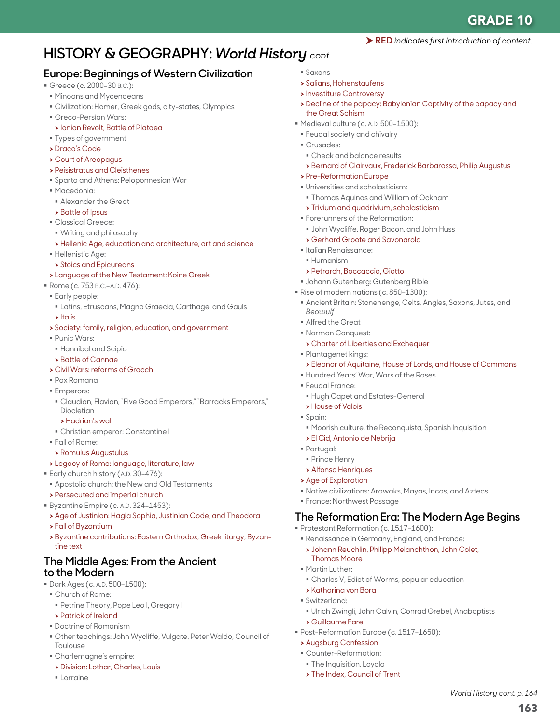# **HISTORY & GEOGRAPHY:** *World History cont.*

# **Europe: Beginnings of Western Civilization**

- Greece (c. 2000-30 B.C.):
- Minoans and Mycenaeans
- Civilization: Homer, Greek gods, city-states, Olympics
- Greco-Persian Wars:
- **> Ionian Revolt, Battle of Plataea**
- Types of government
- h Draco's Code
- h Court of Areopagus
- **> Peisistratus and Cleisthenes**
- Sparta and Athens: Peloponnesian War
- Macedonia:
- Alexander the Great
- $\rightarrow$  Battle of Ipsus
- Classical Greece:
- Writing and philosophy
- h Hellenic Age, education and architecture, art and science
- **Hellenistic Age:**
- $\rightarrow$  Stoics and Epicureans
- > Language of the New Testament: Koine Greek
- Rome (c. 753 B.C.–A.D. 476):
- Early people:
- Latins, Etruscans, Magna Graecia, Carthage, and Gauls
- $\blacktriangleright$  Italis
- **>** Society: family, religion, education, and government
- Punic Wars:
- Hannibal and Scipio
- **> Battle of Cannae**
- h Civil Wars: reforms of Gracchi
- Pax Romana
- **Emperors:**
- Claudian, Flavian, "Five Good Emperors," "Barracks Emperors," Diocletian
- h Hadrian's wall
- Christian emperor: Constantine I
- Fall of Rome:
- $\rightarrow$  Romulus Augustulus
- \* Legacy of Rome: language, literature, law
- **Early church history (A.D. 30-476):**
- **Apostolic church: the New and Old Testaments**
- **> Persecuted and imperial church**
- Byzantine Empire (c. A.D. 324-1453):
- Age of Justinian: Hagia Sophia, Justinian Code, and Theodora
- h Fall of Byzantium
- h Byzantine contributions: Eastern Orthodox, Greek liturgy, Byzantine text

### **The Middle Ages: From the Ancient to the Modern**

- Dark Ages (c. A.D. 500–1500):
- Church of Rome:
	- Petrine Theory, Pope Leo I, Gregory I
	- **> Patrick of Ireland**
- Doctrine of Romanism
- Other teachings: John Wycliffe, Vulgate, Peter Waldo, Council of Toulouse
- Charlemagne's empire:
- **> Division: Lothar, Charles, Louis**
- Lorraine
- Saxons
- $\rightarrow$  Salians, Hohenstaufens
- **> Investiture Controversy**
- h Decline of the papacy: Babylonian Captivity of the papacy and the Great Schism

RED *indicates first introduction of content.*

- Medieval culture (c. A.D. 500-1500):
- Feudal society and chivalry
- Crusades:
- Check and balance results
- h Bernard of Clairvaux, Frederick Barbarossa, Philip Augustus
- **> Pre-Reformation Europe**
- Universities and scholasticism:
- Thomas Aquinas and William of Ockham
- $\triangleright$  Trivium and quadrivium, scholasticism
- **Forerunners of the Reformation:**
- John Wycliffe, Roger Bacon, and John Huss
- **> Gerhard Groote and Savonarola**
- Italian Renaissance:
- Humanism
- **> Petrarch, Boccaccio, Giotto**
- Johann Gutenberg: Gutenberg Bible
- Rise of modern nations (c. 850-1300):
- Ancient Britain: Stonehenge, Celts, Angles, Saxons, Jutes, and *Beowulf*
- Alfred the Great
- Norman Conquest:
- **Charter of Liberties and Exchequer**
- Plantagenet kings:
- h Eleanor of Aquitaine, House of Lords, and House of Commons
- Hundred Years' War, Wars of the Roses
- Feudal France:
	- Hugh Capet and Estates-General
	- **House of Valois**
- Spain:
- Moorish culture, the Reconquista, Spanish Inquisition
- $\rightarrow$  El Cid, Antonio de Nebrija
- Portugal:
	- **Prince Henry**

**Martin Luther:** 

Switzerland:

h Katharina von Bora

h Guillaume Farel

**Augsburg Confession**  Counter-Reformation: **The Inquisition, Loyola** > The Index, Council of Trent

- **Alfonso Henriques**
- $\rightarrow$  Age of Exploration
- Native civilizations: Arawaks, Mayas, Incas, and Aztecs
- France: Northwest Passage

### **The Reformation Era: The Modern Age Begins**

163

*World History cont. p. 164*

Protestant Reformation (c. 1517–1600):

Post-Reformation Europe (c. 1517–1650):

Renaissance in Germany, England, and France:

Charles V, Edict of Worms, popular education

**> Johann Reuchlin, Philipp Melanchthon, John Colet,** Thomas Moore

Ulrich Zwingli, John Calvin, Conrad Grebel, Anabaptists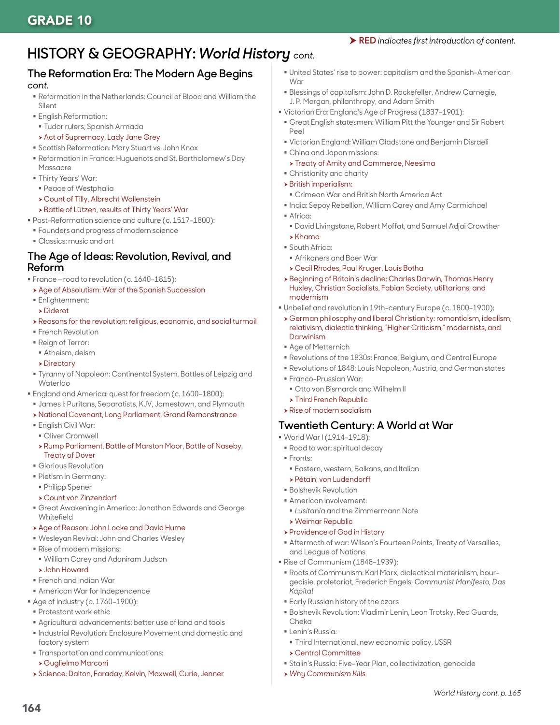# **HISTORY & GEOGRAPHY:** *World History cont.*

#### **The Reformation Era: The Modern Age Begins**  *cont.*

- Reformation in the Netherlands: Council of Blood and William the Silent
- English Reformation:
- Tudor rulers, Spanish Armada
- **Act of Supremacy, Lady Jane Grey**
- Scottish Reformation: Mary Stuart vs. John Knox
- Reformation in France: Huguenots and St. Bartholomew's Day
- Massacre
- Thirty Years' War:
	- Peace of Westphalia
- **> Count of Tilly, Albrecht Wallenstein**
- h Battle of Lützen, results of Thirty Years' War Post-Reformation science and culture (c. 1517–1800):
- Founders and progress of modern science
- Classics: music and art

### **The Age of Ideas: Revolution, Revival, and Reform**

- **France-road to revolution (c. 1640-1815):**
- Age of Absolutism: War of the Spanish Succession
- Enlightenment:
- **Diderot**
- h Reasons for the revolution: religious, economic, and social turmoil
- **French Revolution**
- Reign of Terror:
- Atheism, deism
- $\triangleright$  Directory
- Tyranny of Napoleon: Continental System, Battles of Leipzig and Waterloo
- **England and America: quest for freedom (c. 1600-1800):**
- James I: Puritans, Separatists, KJV, Jamestown, and Plymouth
- h National Covenant, Long Parliament, Grand Remonstrance
- **English Civil War:**
- Oliver Cromwell
- h Rump Parliament, Battle of Marston Moor, Battle of Naseby, Treaty of Dover
- Glorious Revolution
- Pietism in Germany:
- Philipp Spener
- h Count von Zinzendorf
- Great Awakening in America: Jonathan Edwards and George **Whitefield**
- **> Age of Reason: John Locke and David Hume**
- Wesleyan Revival: John and Charles Wesley
- Rise of modern missions:
- William Carey and Adoniram Judson
- **> John Howard**
- French and Indian War
- American War for Independence
- Age of Industry (c. 1760–1900):
- Protestant work ethic
- Agricultural advancements: better use of land and tools
- Industrial Revolution: Enclosure Movement and domestic and factory system
- Transportation and communications:
- h Guglielmo Marconi

164

h Science: Dalton, Faraday, Kelvin, Maxwell, Curie, Jenner

- United States' rise to power: capitalism and the Spanish-American War
- Blessings of capitalism: John D. Rockefeller, Andrew Carnegie, J. P. Morgan, philanthropy, and Adam Smith
- Victorian Era: England's Age of Progress (1837–1901):
- Great English statesmen: William Pitt the Younger and Sir Robert Peel
- Victorian England: William Gladstone and Benjamin Disraeli
- China and Japan missions:
- **> Treaty of Amity and Commerce, Neesima**
- Christianity and charity
- $\rightarrow$  British imperialism:
- Crimean War and British North America Act
- $\blacksquare$  India: Sepoy Rebellion, William Carey and Amy Carmichael
- Africa:
	- David Livingstone, Robert Moffat, and Samuel Adjai Crowther
- $\blacktriangleright$  Khama South Africa:
- 
- Afrikaners and Boer War h Cecil Rhodes, Paul Kruger, Louis Botha
- h Beginning of Britain's decline: Charles Darwin, Thomas Henry Huxley, Christian Socialists, Fabian Society, utilitarians, and modernism
- Unbelief and revolution in 19th-century Europe (c. 1800–1900):
- h German philosophy and liberal Christianity: romanticism, idealism, relativism, dialectic thinking, "Higher Criticism," modernists, and Darwinism
- Age of Metternich
- Revolutions of the 1830s: France, Belgium, and Central Europe
- Revolutions of 1848: Louis Napoleon, Austria, and German states
- Franco-Prussian War:
- Otto von Bismarck and Wilhelm II
- $\triangleright$  Third French Republic
- $\rightarrow$  Rise of modern socialism

#### **Twentieth Century: A World at War**

- World War I (1914–1918):
- Road to war: spiritual decay
- Fronts:
	- Eastern, western, Balkans, and Italian
- h Pétain, von Ludendorff
- Bolshevik Revolution
- American involvement:
- *Lusitania* and the Zimmermann Note
- $\rightarrow$  Weimar Republic
- **> Providence of God in History**
- Aftermath of war: Wilson's Fourteen Points, Treaty of Versailles, and League of Nations
- Rise of Communism (1848-1939):
- Roots of Communism: Karl Marx, dialectical materialism, bourgeoisie, proletariat, Frederich Engels, *Communist Manifesto, Das Kapital*
- Early Russian history of the czars
- Bolshevik Revolution: Vladimir Lenin, Leon Trotsky, Red Guards, Cheka

*World History cont. p. 165*

- **Lenin's Russia:** 
	- Third International, new economic policy, USSR
- $\rightarrow$  Central Committee
- Stalin's Russia: Five-Year Plan, collectivization, genocide
- h *Why Communism Kills*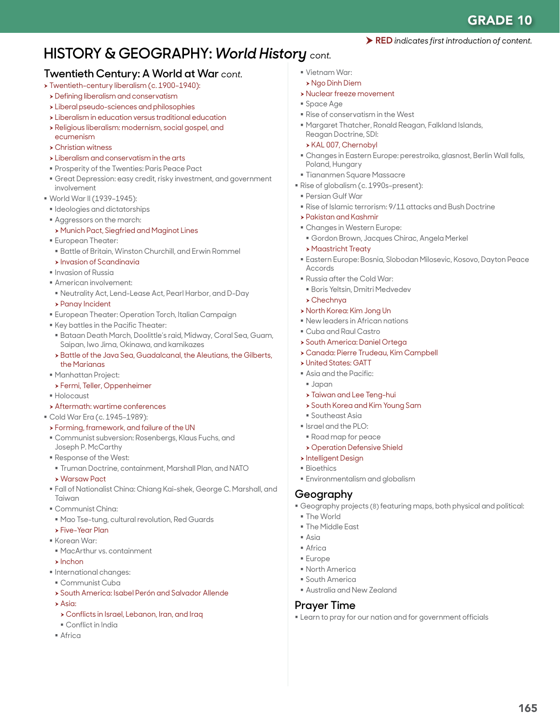# **HISTORY & GEOGRAPHY:** *World History cont.*

### **Twentieth Century: A World at War** *cont.*

- > Twentieth-century liberalism (c. 1900-1940):
- **>** Defining liberalism and conservatism
- h Liberal pseudo-sciences and philosophies
- $\rightarrow$  Liberalism in education versus traditional education
- h Religious liberalism: modernism, social gospel, and
- ecumenism
- $\rightarrow$  Christian witness
- $\triangleright$  Liberalism and conservatism in the arts
- Prosperity of the Twenties: Paris Peace Pact
- Great Depression: easy credit, risky investment, and government involvement
- World War II (1939–1945):
- **Indeplogies and dictatorships**
- Aggressors on the march:
- **> Munich Pact, Siegfried and Maginot Lines**
- European Theater:
- Battle of Britain, Winston Churchill, and Erwin Rommel
- **Exercise Invasion of Scandinavia**
- **Invasion of Russia**
- American involvement:
- Neutrality Act, Lend-Lease Act, Pearl Harbor, and D-Day
- **> Panay Incident**
- European Theater: Operation Torch, Italian Campaign
- Key battles in the Pacific Theater:
- Bataan Death March, Doolittle's raid, Midway, Coral Sea, Guam, Saipan, Iwo Jima, Okinawa, and kamikazes
- h Battle of the Java Sea, Guadalcanal, the Aleutians, the Gilberts, the Marianas
- Manhattan Project:
- h Fermi, Teller, Oppenheimer
- Holocaust
- $\rightarrow$  Aftermath: wartime conferences
- Cold War Era (c. 1945–1989):
- h Forming, framework, and failure of the UN
- Communist subversion: Rosenbergs, Klaus Fuchs, and Joseph P. McCarthy
- Response of the West:
- Truman Doctrine, containment, Marshall Plan, and NATO
- **> Warsaw Pact**
- Fall of Nationalist China: Chiang Kai-shek, George C. Marshall, and Taiwan
- Communist China:
- Mao Tse-tung, cultural revolution, Red Guards h Five-Year Plan
- Korean War
- MacArthur vs. containment
- $\blacktriangleright$  Inchon
- $\blacksquare$  International changes:
- Communist Cuba
- **> South America: Isabel Perón and Salvador Allende**
- $\Delta$ cia:
- h Conflicts in Israel, Lebanon, Iran, and Iraq
- Conflict in India
- $A$ frica
- Vietnam War:
- h Ngo Dinh Diem
- **> Nuclear freeze movement**
- Space Age
- Rise of conservatism in the West
- Margaret Thatcher, Ronald Reagan, Falkland Islands, Reagan Doctrine, SDI:
- h KAL 007, Chernobyl
- Changes in Eastern Europe: perestroika, glasnost, Berlin Wall falls, Poland, Hungary
- Tiananmen Square Massacre
- Rise of globalism (c. 1990s-present):
- Persian Gulf War
- Rise of Islamic terrorism: 9/11 attacks and Bush Doctrine
- $\rightarrow$  Pakistan and Kashmir
- Changes in Western Europe:
- Gordon Brown, Jacques Chirac, Angela Merkel
- **> Maastricht Treaty**
- Eastern Europe: Bosnia, Slobodan Milosevic, Kosovo, Dayton Peace Accords
- Russia after the Cold War:
- Boris Yeltsin, Dmitri Medvedev
- $\triangleright$  Chechnva
- h North Korea: Kim Jong Un
- New leaders in African nations
- Cuba and Raul Castro
- **> South America: Daniel Ortega**
- h Canada: Pierre Trudeau, Kim Campbell
- **> United States: GATT**
- Asia and the Pacific:
- Japan
- **> Taiwan and Lee Teng-hui**
- **>** South Korea and Kim Young Sam
- Southeast Asia
- $I$  Israel and the PLO:
- Road map for peace
- **> Operation Defensive Shield**
- **>Intelligent Design**
- Bioethics
- Environmentalism and globalism

### **Geography**

- Geography projects (8) featuring maps, both physical and political:
	- The World
	- **The Middle East**
- $\Delta$ sia
- **Africa**
- Europe
- North America
- South America
- Australia and New Zealand

#### **Prayer Time**

Learn to pray for our nation and for government officials

165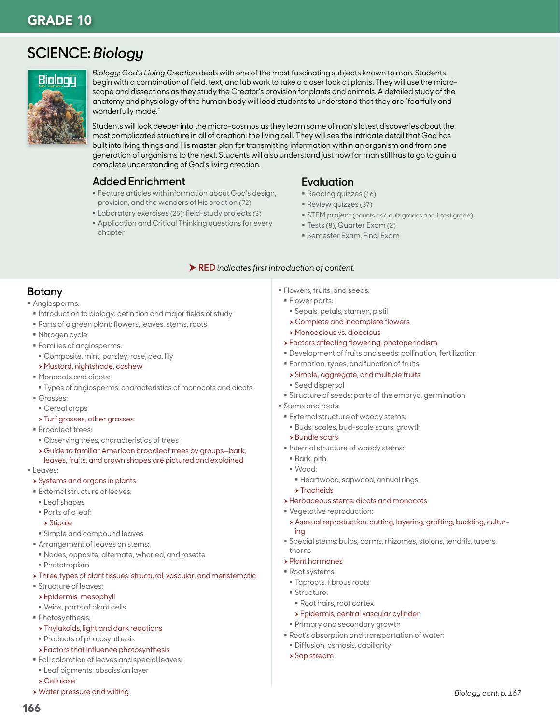# **SCIENCE:** *Biology*



*Biology: God's Living Creation* deals with one of the most fascinating subjects known to man. Students begin with a combination of field, text, and lab work to take a closer look at plants. They will use the microscope and dissections as they study the Creator's provision for plants and animals. A detailed study of the anatomy and physiology of the human body will lead students to understand that they are "fearfully and wonderfully made."

Students will look deeper into the micro-cosmos as they learn some of man's latest discoveries about the most complicated structure in all of creation: the living cell. They will see the intricate detail that God has built into living things and His master plan for transmitting information within an organism and from one generation of organisms to the next. Students will also understand just how far man still has to go to gain a complete understanding of God's living creation.

#### **Added Enrichment**

- Feature articles with information about God's design, provision, and the wonders of His creation (72)
- Laboratory exercises (25); field-study projects (3)
- Application and Critical Thinking questions for every chapter

#### **Evaluation**

- Reading quizzes (16)
- Review quizzes (37)
- **STEM** project (counts as 6 quiz grades and 1 test grade)
- Tests (8), Quarter Exam (2)
- Semester Exam, Final Exam

#### RED *indicates first introduction of content.*

### **Botany**

- Angiosperms:
- **Introduction to biology: definition and major fields of study**
- Parts of a green plant: flowers, leaves, stems, roots
- Nitrogen cycle
- Families of angiosperms:
- Composite, mint, parsley, rose, pea, lily
- > Mustard, nightshade, cashew
- Monocots and dicots:
- Types of angiosperms: characteristics of monocots and dicots
- Grasses:
- Cereal crops
- **> Turf grasses, other grasses**
- Broadleaf trees:
- Observing trees, characteristics of trees
- h Guide to familiar American broadleaf trees by groups—bark, leaves, fruits, and crown shapes are pictured and explained
- **Leaves:**
- **>** Systems and organs in plants
- External structure of leaves:
- **Leaf shapes**
- Parts of a leaf:
- $\rightarrow$  Stipule
- Simple and compound leaves
- Arrangement of leaves on stems:
- Nodes, opposite, alternate, whorled, and rosette
- Phototropism
- > Three types of plant tissues: structural, vascular, and meristematic
- Structure of leaves:
- $\rightarrow$  Epidermis, mesophyll
- Veins, parts of plant cells
- Photosynthesis:
	- **> Thylakoids, light and dark reactions**
- **Products of photosynthesis**
- > Factors that influence photosynthesis
- Fall coloration of leaves and special leaves:
- Leaf pigments, abscission layer
- h Cellulase
- **> Water pressure and wilting**
- Flowers, fruits, and seeds:
- **Flower parts:**
- Sepals, petals, stamen, pistil
- $\rightarrow$  Complete and incomplete flowers
- h Monoecious vs. dioecious
- **>** Factors affecting flowering: photoperiodism
- Development of fruits and seeds: pollination, fertilization
- Formation, types, and function of fruits:
- **> Simple, aggregate, and multiple fruits**
- Seed dispersal
- Structure of seeds: parts of the embryo, germination
- Stems and roots:
- External structure of woody stems:
- Buds, scales, bud-scale scars, growth
- $\rightarrow$  Bundle scars
- $\blacksquare$  Internal structure of woody stems:
- Bark, pith
- Wood:
- Heartwood, sapwood, annual rings
- $\blacktriangleright$  Tracheids
- **>** Herbaceous stems: dicots and monocots
- Vegetative reproduction:
- h Asexual reproduction, cutting, layering, grafting, budding, culturing
- Special stems: bulbs, corms, rhizomes, stolons, tendrils, tubers, thorns
- $\rightarrow$  Plant hormones
- Root systems:
	- Taproots, fibrous roots
	- **Structure:**
	- Root hairs, root cortex
	- **>** Epidermis, central vascular cylinder
	- Primary and secondary growth
- Root's absorption and transportation of water:
- Diffusion, osmosis, capillarity
- $\rightarrow$  Sap stream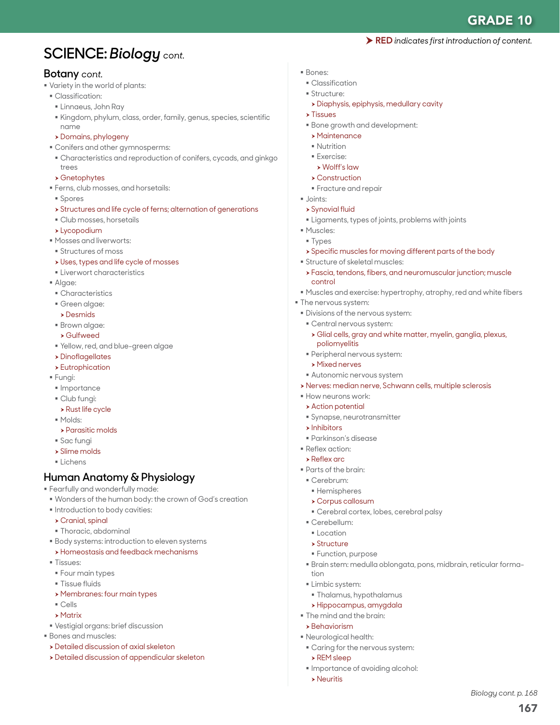167

*Biology cont. p. 168*

# **SCIENCE:** *Biology cont.*

#### **Botany** *cont.*

- Variety in the world of plants:
- Classification:
	- Linnaeus, John Ray
- Kingdom, phylum, class, order, family, genus, species, scientific name
- h Domains, phylogeny
- Conifers and other gymnosperms:
- Characteristics and reproduction of conifers, cycads, and ginkgo trees
- $\rightarrow$  Gnetophytes
- Ferns, club mosses, and horsetails:
- Spores
- h Structures and life cycle of ferns; alternation of generations
- Club mosses, horsetails
- $\blacktriangleright$  Lycopodium
- Mosses and liverworts:
- **Structures of moss**
- $\rightarrow$  Uses, types and life cycle of mosses
- Liverwort characteristics
- Algae:
- Characteristics
- Green algae:
- $\rightarrow$  Desmids
- Brown algae:
- h Gulfweed
- Yellow, red, and blue-green algae
- $\rightarrow$  Dinoflagellates
- $\rightarrow$  Eutrophication
- Fungi:
- · Importance
- Club fungi:
- $\rightarrow$  Rust life cycle
- Molds:
- $\rightarrow$  Parasitic molds
- Sac fungi
- $\rightarrow$  Slime molds
- Lichens

# **Human Anatomy & Physiology**

Fearfully and wonderfully made:

- Wonders of the human body: the crown of God's creation
- $\blacksquare$  Introduction to body cavities:
- $\triangleright$  Cranial, spinal
- Thoracic, abdominal
- **Body systems: introduction to eleven systems**
- **>Homeostasis and feedback mechanisms**
- Tissues:
- Four main types
- **Tissue fluids**
- **> Membranes: four main types**
- Cells
- $\blacktriangleright$  Matrix
- Vestigial organs: brief discussion
- Bones and muscles:
- **>** Detailed discussion of axial skeleton
- **>** Detailed discussion of appendicular skeleton
- Bones:
	- Classification
- Structure:
	- > Diaphysis, epiphysis, medullary cavity
- $\blacktriangleright$  Tissues
- **Bone growth and development:**
- $\rightarrow$  Maintenance
- **Nutrition**
- Exercise:
- $\triangleright$  Wolff's law
- $\rightarrow$  Construction
- **Fracture and repair**
- Joints:
- $\triangleright$  Synovial fluid
- **Example 1** Ligaments, types of joints, problems with joints
- **Muscles:**
- **Types**
- $\rightarrow$  Specific muscles for moving different parts of the body
- Structure of skeletal muscles:
- h Fascia, tendons, fibers, and neuromuscular junction; muscle control
- Muscles and exercise: hypertrophy, atrophy, red and white fibers
- **The nervous system:**
- Divisions of the nervous system:
- Central nervous system:
	- $\blacktriangleright$  Glial cells, gray and white matter, myelin, ganglia, plexus, poliomyelitis
- Peripheral nervous system:
- $\triangleright$  Mixed nerves
- Autonomic nervous system
- h Nerves: median nerve, Schwann cells, multiple sclerosis
- How neurons work:
- $\rightarrow$  Action potential
- Synapse, neurotransmitter
- $\blacktriangleright$  Inhibitors
- Parkinson's disease
- Reflex action:
- $\blacktriangleright$  Reflex arc
- Parts of the brain:
- Cerebrum:
- **Hemispheres**
- $\rightarrow$  Corpus callosum

**Function, purpose** 

 Thalamus, hypothalamus h Hippocampus, amygdala The mind and the brain:  $\rightarrow$  Behaviorism Neurological health:

Caring for the nervous system:

**Importance of avoiding alcohol:** 

Cerebral cortex, lobes, cerebral palsy

Brain stem: medulla oblongata, pons, midbrain, reticular forma-

- Cerebellum:
- **Location**

**Limbic system:** 

 $\triangleright$  REM sleep

 $\triangleright$  Neuritis

 $\rightarrow$  Structure

tion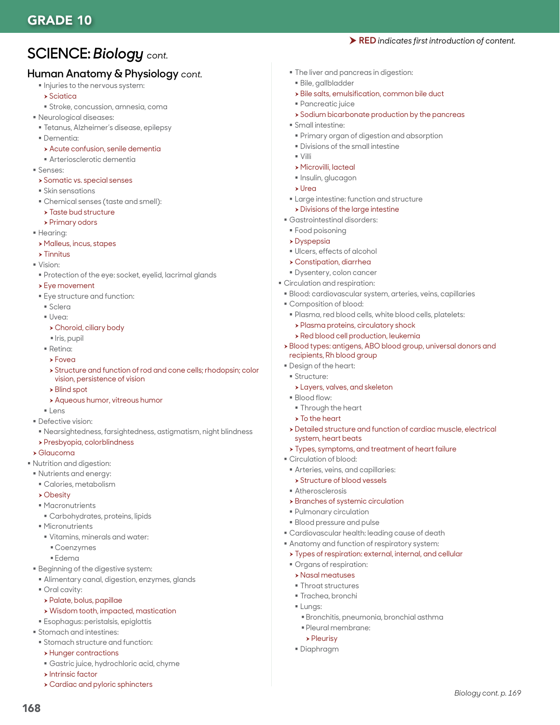# **SCIENCE:** *Biology cont.*

### **Human Anatomy & Physiology** *cont.*

- $\blacksquare$  Injuries to the nervous system:
- $\rightarrow$  Sciatica
- Stroke, concussion, amnesia, coma
- Neurological diseases:
- Tetanus, Alzheimer's disease, epilepsy
- Dementia:
- > Acute confusion, senile dementia
- Arteriosclerotic dementia
- Senses:
- **>** Somatic vs. special senses
- Skin sensations
- Chemical senses (taste and smell):
- $\rightarrow$  Taste bud structure
- $\triangleright$  Primary odors
- **Hearing:**
- h Malleus, incus, stapes
- $\rightarrow$  Tinnitus
- Vision:
- Protection of the eye: socket, eyelid, lacrimal glands
- $\rightarrow$  Eye movement
- Eye structure and function:
- Sclera
- Uvea:
- $\triangleright$  Choroid, ciliary body
- Iris, pupil
- Retina:
- $\rightarrow$  Foved
- h Structure and function of rod and cone cells; rhodopsin; color vision, persistence of vision
- $\rightarrow$  Blind spot
- **> Aqueous humor, vitreous humor**
- **Lens**
- Defective vision:
- Nearsightedness, farsightedness, astigmatism, night blindness
- h Presbyopia, colorblindness

#### $\blacktriangleright$  Glaucoma

- Nutrition and digestion:
- Nutrients and energy:
	- Calories, metabolism
	- $\rightarrow$  Obesity
	- Macronutrients
	- Carbohydrates, proteins, lipids
	- Micronutrients
	- Vitamins, minerals and water:
		- Coenzymes
	- Edema
- **Beginning of the digestive system:**
- Alimentary canal, digestion, enzymes, glands
- Oral cavity:
- $\rightarrow$  Palate, bolus, papillae
- $\rightarrow$  Wisdom tooth, impacted, mastication
- Esophagus: peristalsis, epiglottis
- **Stomach and intestines:**
- Stomach structure and function:
- $\rightarrow$  Hunger contractions
- Gastric juice, hydrochloric acid, chyme
- $\rightarrow$  Intrinsic factor

168

 $\rightarrow$  Cardiac and pyloric sphincters

- The liver and pancreas in digestion:
- Bile, gallbladder
- $\triangleright$  Bile salts, emulsification, common bile duct
- Pancreatic juice
- **>Sodium bicarbonate production by the pancreas**

RED *indicates first introduction of content.*

- Small intestine:
- Primary organ of digestion and absorption
- **Divisions of the small intestine**
- $\sim$  Villi
- h Microvilli, lacteal
- $\blacksquare$  Insulin, glucagon
- $\blacktriangleright$  Urea
- Large intestine: function and structure
- $\triangleright$  Divisions of the large intestine
- Gastrointestinal disorders:
- Food poisoning
- $\rightarrow$  Dyspepsia
- Ulcers, effects of alcohol
- h Constipation, diarrhea
- Dysentery, colon cancer
- Circulation and respiration:
- Blood: cardiovascular system, arteries, veins, capillaries
- Composition of blood:
- Plasma, red blood cells, white blood cells, platelets:
	- > Plasma proteins, circulatory shock
	- $\rightarrow$  Red blood cell production, leukemia
- h Blood types: antigens, ABO blood group, universal donors and recipients, Rh blood group
- Design of the heart:
- **Structure:** 
	- **>Layers, valves, and skeleton**
- Blood flow:
- **Through the heart**
- $\triangleright$  To the heart
- h Detailed structure and function of cardiac muscle, electrical system, heart beats
- > Types, symptoms, and treatment of heart failure
- Circulation of blood:
- Arteries, veins, and capillaries:
- **> Structure of blood vessels**

 Pulmonary circulation Blood pressure and pulse

 Organs of respiration:  $\triangleright$  Nasal meatuses **Throat structures** Trachea, bronchi

 Pleural membrane:  $\rho$  Pleurisy Diaphragm

**Lungs:** 

- Atherosclerosis
- $\rightarrow$  Branches of systemic circulation

 Cardiovascular health: leading cause of death Anatomy and function of respiratory system:  $\rightarrow$  Types of respiration: external, internal, and cellular

Bronchitis, pneumonia, bronchial asthma

*Biology cont. p. 169*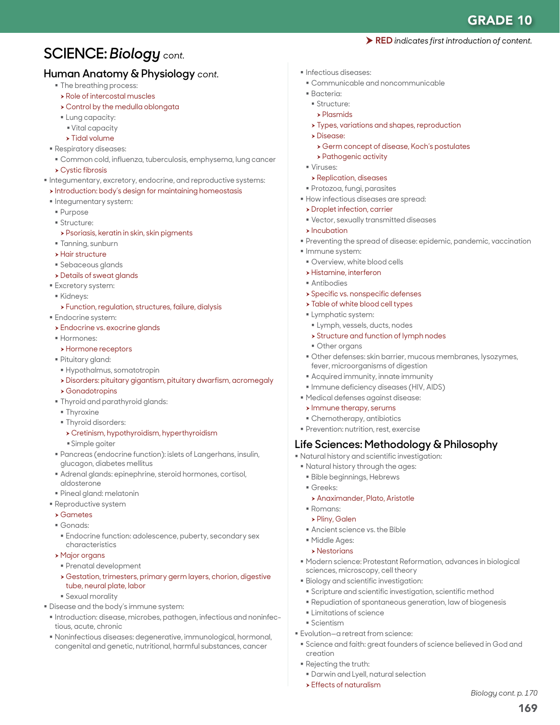# **SCIENCE:** *Biology cont.*

### **Human Anatomy & Physiology** *cont.*

- $\blacksquare$  The breathing process:
- $\rightarrow$  Role of intercostal muscles
- $\rightarrow$  Control by the medulla oblongata
- **Lung capacity:**
- Vital capacity
- $\rightarrow$  Tidal volume
- Respiratory diseases:
	- Common cold, influenza, tuberculosis, emphysema, lung cancer
- $\rightarrow$  Cystic fibrosis
- $\blacksquare$  Integumentary, excretory, endocrine, and reproductive systems:
- $\rightarrow$  Introduction: body's design for maintaining homeostasis
- **Integumentary system:**
- Purpose
- **Structure:**
- $\triangleright$  Psoriasis, keratin in skin, skin pigments
- Tanning, sunburn
- $\rightarrow$  Hair structure
- Sebaceous glands
- **>** Details of sweat glands
- **Excretory system:**
- Kidneys:
- > Function, regulation, structures, failure, dialysis
- **Endocrine system:**
- **>** Endocrine vs. exocrine glands
- Hormones:
- **h** Hormone receptors
- Pituitary gland:
- Hypothalmus, somatotropin
- h Disorders: pituitary gigantism, pituitary dwarfism, acromegaly
- $\rightarrow$  Gonadotropins
- Thyroid and parathyroid glands:
- **Thyroxine**
- **Thyroid disorders:** 
	- h Cretinism, hypothyroidism, hyperthyroidism
- Simple goiter
- Pancreas (endocrine function): islets of Langerhans, insulin, glucagon, diabetes mellitus
- Adrenal glands: epinephrine, steroid hormones, cortisol, aldosterone
- Pineal gland: melatonin
- **Reproductive system**
- $\rightarrow$  Gametes
- Gonads:
- Endocrine function: adolescence, puberty, secondary sex characteristics
- **> Major organs**
- Prenatal development
- h Gestation, trimesters, primary germ layers, chorion, digestive tube, neural plate, labor
- Sexual morality
- Disease and the body's immune system:
- $\blacksquare$  Introduction: disease, microbes, pathogen, infectious and noninfectious, acute, chronic
- Noninfectious diseases: degenerative, immunological, hormonal, congenital and genetic, nutritional, harmful substances, cancer
- $\blacksquare$  Infectious diseases:
- Communicable and noncommunicable
- Bacteria:
- **Structure:**
- $\blacktriangleright$  Plasmids
- **> Types, variations and shapes, reproduction**
- **>Disease:**
- h Germ concept of disease, Koch's postulates
- > Pathogenic activity
- Viruses:
- **> Replication, diseases**
- Protozoa, fungi, parasites
- How infectious diseases are spread:
- **>** Droplet infection, carrier
- Vector, sexually transmitted diseases
- $\blacktriangleright$  Incubation
- Preventing the spread of disease: epidemic, pandemic, vaccination
- **Immune system:**
- Overview, white blood cells
- **> Histamine, interferon**
- Antibodies
- **> Specific vs. nonspecific defenses**
- > Table of white blood cell types
- **Lymphatic system:**
- Lymph, vessels, ducts, nodes
- $\rightarrow$  Structure and function of lymph nodes
- Other organs
- Other defenses: skin barrier, mucous membranes, lysozymes, fever, microorganisms of digestion
- Acquired immunity, innate immunity
- **Immune deficiency diseases (HIV, AIDS)**
- Medical defenses against disease:
- $\triangleright$  Immune therapy, serums
- Chemotherapy, antibiotics
- **Prevention: nutrition, rest, exercise**

### **Life Sciences: Methodology & Philosophy**

- Natural history and scientific investigation:
- Natural history through the ages:
- Bible beginnings, Hebrews
- Greeks:
- **> Anaximander, Plato, Aristotle**
- Romans:
- h Pliny, Galen
- Ancient science vs. the Bible
- Middle Ages:
- $\rightarrow$  Nestorians

Scientism

creation

Rejecting the truth:

 $\triangleright$  Effects of naturalism

 Modern science: Protestant Reformation, advances in biological sciences, microscopy, cell theory

Science and faith: great founders of science believed in God and

169

*Biology cont. p. 170*

Biology and scientific investigation:

 $\blacksquare$  Limitations of science

Evolution—a retreat from science:

Darwin and Lyell, natural selection

 Scripture and scientific investigation, scientific method Repudiation of spontaneous generation, law of biogenesis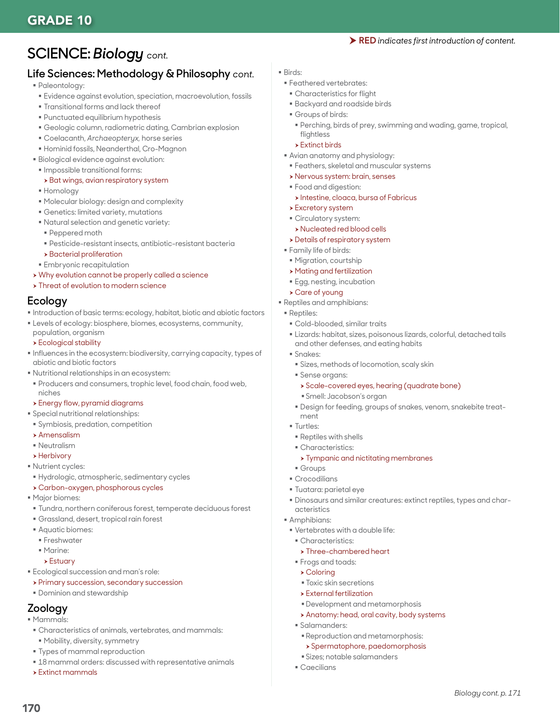# GRADE 10

#### RED *indicates first introduction of content.*

# **SCIENCE:** *Biology cont.*

## **Life Sciences: Methodology & Philosophy** *cont.*

- Paleontology:
- Evidence against evolution, speciation, macroevolution, fossils
- Transitional forms and lack thereof
- Punctuated equilibrium hypothesis
- Geologic column, radiometric dating, Cambrian explosion
- Coelacanth, *Archaeopteryx,* horse series
- Hominid fossils, Neanderthal, Cro-Magnon
- Biological evidence against evolution:
- Impossible transitional forms:

#### > Bat wings, avian respiratory system

- Homology
- Molecular biology: design and complexity
- Genetics: limited variety, mutations
- Natural selection and genetic variety:
- Peppered moth
- Pesticide-resistant insects, antibiotic-resistant bacteria
- $\rightarrow$  Bacterial proliferation
- **Embryonic recapitulation**
- > Why evolution cannot be properly called a science
- **> Threat of evolution to modern science**

#### **Ecology**

- Introduction of basic terms: ecology, habitat, biotic and abiotic factors
- **Levels of ecology: biosphere, biomes, ecosystems, community,**
- population, organism **>** Ecological stability
- Influences in the ecosystem: biodiversity, carrying capacity, types of abiotic and biotic factors
- Nutritional relationships in an ecosystem:
- Producers and consumers, trophic level, food chain, food web, niches
- $\rightarrow$  Energy flow, pyramid diagrams
- Special nutritional relationships:
- Symbiosis, predation, competition
- $\blacktriangleright$  Amensalism
- **Neutralism**
- $\blacktriangleright$  Herbivory
- **Nutrient cycles:**
- Hydrologic, atmospheric, sedimentary cycles
- > Carbon-oxygen, phosphorous cycles
- Major biomes:
- Tundra, northern coniferous forest, temperate deciduous forest
- Grassland, desert, tropical rain forest
- Aquatic biomes:
- **Freshwater**
- Marine:
- $\rightarrow$  Estuary
- Ecological succession and man's role:
- **> Primary succession, secondary succession**
- Dominion and stewardship

# **Zoology**

Mammals:

170

- Characteristics of animals, vertebrates, and mammals:
- Mobility, diversity, symmetry
- **Types of mammal reproduction**
- $18$  mammal orders: discussed with representative animals
- $\rightarrow$  Extinct mammals
- Birds:
- Feathered vertebrates:
- Characteristics for flight Backyard and roadside birds
- Groups of birds:
	- Perching, birds of prey, swimming and wading, game, tropical,
	- flightless  $\triangleright$  Extinct birds
- Avian anatomy and physiology:
- Feathers, skeletal and muscular systems
- h Nervous system: brain, senses
- Food and digestion:
- **h** Intestine, cloaca, bursa of Fabricus
- $\rightarrow$  Excretory system
- Circulatory system:
- h Nucleated red blood cells
- $\rightarrow$  Details of respiratory system
- Family life of birds:
- Migration, courtship
- $\rightarrow$  Mating and fertilization
- Egg, nesting, incubation

#### **>** Care of young

- Reptiles and amphibians:
- Reptiles:
	- Cold-blooded, similar traits
	- Lizards: habitat, sizes, poisonous lizards, colorful, detached tails and other defenses, and eating habits
	- Snakes:
		- Sizes, methods of locomotion, scaly skin
	- Sense organs:
		- > Scale-covered eyes, hearing (quadrate bone)
		- Smell: Jacobson's organ
	- Design for feeding, groups of snakes, venom, snakebite treatment
	- Turtles:
	- Reptiles with shells
	- Characteristics:
		- > Tympanic and nictitating membranes
	- **Groups**
	- Crocodilians
	- Tuatara: parietal eye
	- Dinosaurs and similar creatures: extinct reptiles, types and characteristics

*Biology cont. p. 171*

- **Amphibians:**
- Vertebrates with a double life:
	- **Characteristics:**
	- $\triangleright$  Three-chambered heart

 Development and metamorphosis \* Anatomy: head, oral cavity, body systems

 Reproduction and metamorphosis:  $\rightarrow$  Spermatophore, paedomorphosis

Sizes; notable salamanders

 Toxic skin secretions  $\triangleright$  External fertilization

Frogs and toads:

 $\triangleright$  Coloring

Salamanders:

Caecilians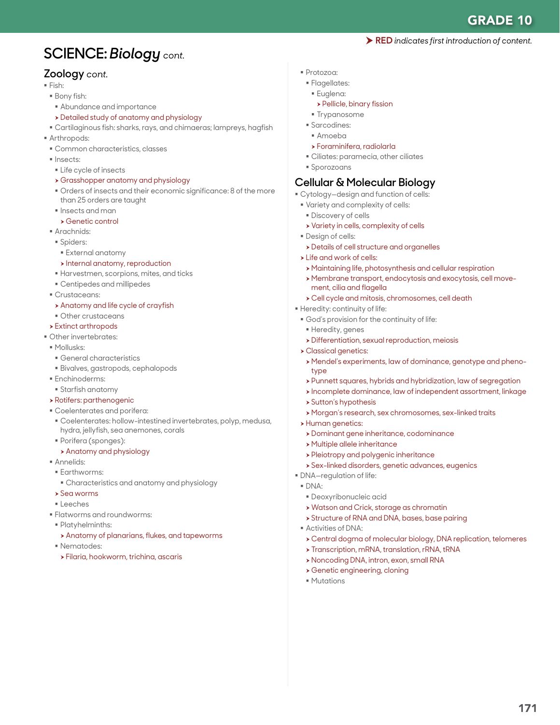# **SCIENCE:** *Biology cont.*

### **Zoology** *cont.*

- Fish:
- Bony fish:
- Abundance and importance
- h Detailed study of anatomy and physiology
- Cartilaginous fish: sharks, rays, and chimaeras; lampreys, hagfish
- **Arthropods:**
- Common characteristics, classes
- Insects:
- **Life cycle of insects**
- **>** Grasshopper anatomy and physiology
- Orders of insects and their economic significance: 8 of the more than 25 orders are taught
- $\blacksquare$  Insects and man
- $\rightarrow$  Genetic control
- **Arachnids:**  Spiders:
	- External anatomy
	- $\triangleright$  Internal anatomy, reproduction
- Harvestmen, scorpions, mites, and ticks
- Centipedes and millipedes
- Crustaceans:
- $\rightarrow$  Anatomy and life cycle of crayfish
- Other crustaceans
- $\rightarrow$  Extinct arthropods
- Other invertebrates:
- Mollusks:
- General characteristics
- Bivalves, gastropods, cephalopods
- **Enchinoderms:**
- Starfish anatomy
- **> Rotifers: parthenogenic**
- Coelenterates and porifera:
- Coelenterates: hollow-intestined invertebrates, polyp, medusa, hydra, jellyfish, sea anemones, corals
- Porifera (sponges):
- **Anatomy and physiology**
- Annelids:
- **Earthworms:**
- Characteristics and anatomy and physiology
- $\rightarrow$  Sea worms
- Leeches
- Flatworms and roundworms:
- Platyhelminths:
- $\rightarrow$  Anatomy of planarians, flukes, and tapeworms
- **Nematodes:**
- $\rightarrow$  Filaria, hookworm, trichina, ascaris
- Protozoa:
- **Flagellates:** 
	- Euglena:
		- $\rightarrow$  Pellicle, binary fission
	- **Trypanosome**
- Sarcodines:
- Amoeba
- h Foraminifera, radiolarla
- Ciliates: paramecia, other ciliates
- Sporozoans

### **Cellular & Molecular Biology**

- Cytology—design and function of cells:
- Variety and complexity of cells:
- **Discovery of cells**
- **>** Variety in cells, complexity of cells
- **Design of cells:**
- **>** Details of cell structure and organelles
- $\triangleright$  Life and work of cells:
- h Maintaining life, photosynthesis and cellular respiration
- h Membrane transport, endocytosis and exocytosis, cell movement, cilia and flagella
- h Cell cycle and mitosis, chromosomes, cell death
- Heredity: continuity of life:
- God's provision for the continuity of life:
- Heredity, genes
- **> Differentiation, sexual reproduction, meiosis**
- **> Classical genetics:**
- h Mendel's experiments, law of dominance, genotype and phenotype
- > Punnett squares, hybrids and hybridization, law of segregation
- $\rightarrow$  Incomplete dominance, law of independent assortment, linkage
- > Sutton's hypothesis
- h Morgan's research, sex chromosomes, sex-linked traits
- > Human genetics:
	- **>** Dominant gene inheritance, codominance
- **> Multiple allele inheritance**
- **> Pleiotropy and polygenic inheritance**
- **> Sex-linked disorders, genetic advances, eugenics**
- DNA—regulation of life:
- DNA:
	- Deoxyribonucleic acid
	- $\rightarrow$  Watson and Crick, storage as chromatin
	- **> Structure of RNA and DNA, bases, base pairing**
- Activities of DNA:
- h Central dogma of molecular biology, DNA replication, telomeres
- **> Transcription, mRNA, translation, rRNA, tRNA**
- h Noncoding DNA, intron, exon, small RNA
- $\rightarrow$  Genetic engineering, cloning
- **Mutations**